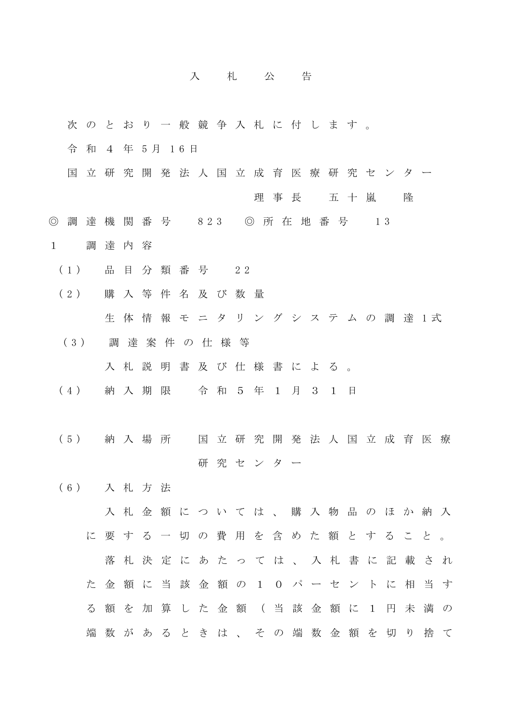## 入 札 公 告

- 次 の と お り 一 般 競 争 入 札 に 付 し ま す 。
- 令 和 4 年 5 月 1 6 日
- 国 立 研 究 開 発 法 人 国 立 成 育 医 療 研 究 セ ン タ ー 理 事 長 五十嵐 隆
- ◎ 調 達 機 関 番 号 823 ◎ 所 在 地 番 号 13
- 1 調 達 内 容
	- (1) 品 目 分 類 番 号 2 2
	- (2) 購 入 等 件 名 及 び 数 量 生体情報モニタリングシステムの調達1式
	- (3) 調 達 案 件 の 仕 様 等

入 札 説 明 書 及 び 仕 様 書 に よ る 。

- (4) 納 入 期 限 令 和 5 年 1 月 3 1 日
- (5) 納 入 場 所 国 立 研 究 開 発 法 人 国 立 成 育 医 療 研 究 センター
- (6) 入 札 方 法

入札金額については、購入物品のほか納入 に 要 す る 一 切 の 費 用 を 含 め た 額 と す る こ と 。 落 札 決 定 に あ た っ て は 、 入 札 書 に 記 載 さ れ た 金 額 に 当 該 金 額 の 1 0 パ ー セ ン ト に 相 当 す る 額 を 加 算 し た 金 額 ( 当 該 金 額 に 1 円 未 満 の 端 数 が あ る と き は 、 そ の 端 数 金 額 を 切 り 捨 て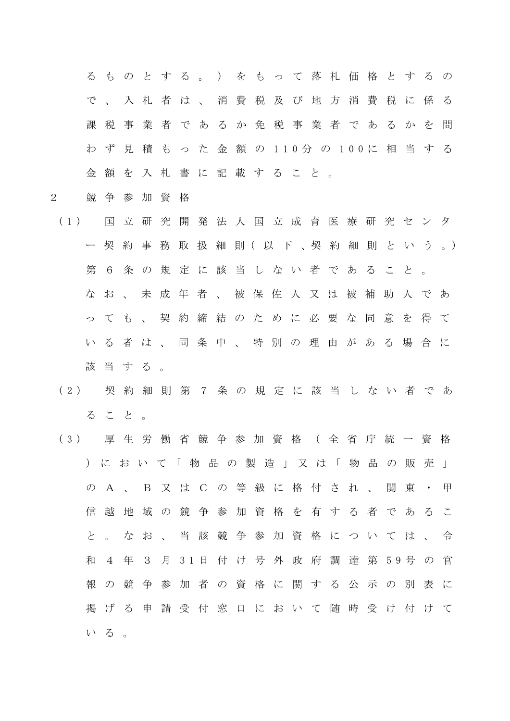る も の と す る 。 ) を も っ て 落 札 価 格 と す る の で、入札者は、消費税及び地方消費税に係る 課税事業者であるか免税事業者であるかを問 わ ず 見 積 も っ た 金 額 の 1 1 0 分 の 100 に 相 当 す る 金 額 を 入 札 書 に 記 載 す る こ と 。

- 2 競 争 参 加 資 格
- (1) 国 立 研 究 開 発 法 人 国 立 成 育 医 療 研 究 セ ン タ ー 契 約 事 務 取 扱 細 則( 以 下 、契 約 細 則 と い う 。) 第 6 条 の 規 定 に 該 当 し な い 者 で あ る こ と 。 なお、未成年者、被保佐人又は被補助人であ っ て も 、 契 約 締 結 の た め に 必 要 な 同 意 を 得 て い る 者 は 、 同 条 中 、 特 別 の 理 由 が あ る 場 合 に 該当する。
- (2) 契 約 細 則 第 7 条 の 規 定 に 該 当 し な い 者 で あ る こ と 。
- (3) 厚 生 労 働 省 競 争 参 加 資 格 ( 全 省 庁 統 一 資 格 ) に お い て 「 物 品 の 製 造 」 又 は 「 物 品 の 販 売 」 の A 、 B 又 は C の 等 級 に 格 付 さ れ 、 関 東 ・ 甲 信 越 地 域 の 競 争 参 加 資 格 を 有 す る 者 で あ る こ と 。 な お 、 当 該 競 争 参 加 資 格 に つ い て は 、 令 和 4 年 3 月 3 1 日 付 け 号 外 政 府 調 達 第 5 9 号 の 官 報 の 競 争 参 加 者 の 資 格 に 関 す る 公 示 の 別 表 に 掲 げ る 申 請 受 付 窓 口 に お い て 随 時 受 け 付 け て いる。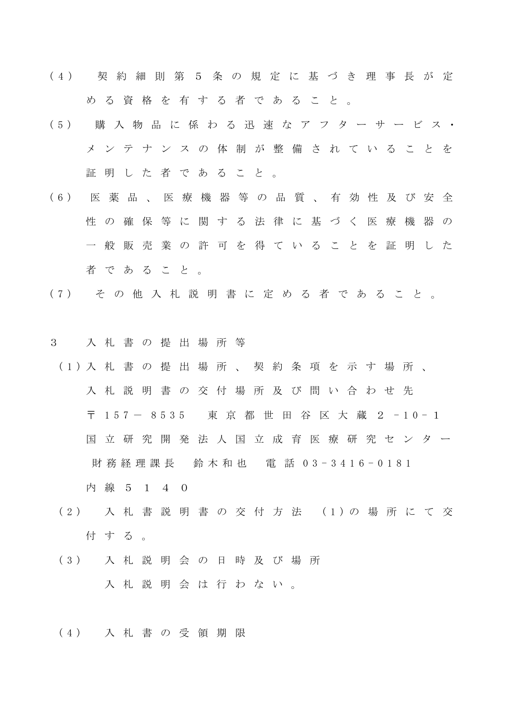- ( 4 ) 契 約 細 則 第 5 条 の 規 定 に 基 づ き 理 事 長 が 定 める資格を有する者であること。
- (5) 購 入 物 品 に 係 わ る 迅 速 な ア フ タ ー サ ー ビ ス ・ メ ン テ ナ ン ス の 体 制 が 整 備 さ れ て い る こ と を 証 明 し た 者 で あ る こ と 。
- (6) 医 薬 品 、 医 療 機 器 等 の 品 質 、 有 効 性 及 び 安 全 性 の 確 保 等 に 関 す る 法 律 に 基 づ く 医 療 機 器 の 一 般 販 売 業 の 許 可 を 得 て い る こ と を 証 明 し た 者 で あ る こ と 。
- (7) そ の 他 入 札 説 明 書 に 定 め る 者 で あ る こ と 。
- 3 入 札 書 の 提 出 場 所 等
- (1) 入 札 書 の 提 出 場 所 、 契 約 条 項 を 示 す 場 所 、 入 札 説 明 書 の 交 付 場 所 及 び 問 い 合 わ せ 先 〒 157 - 8535 東 京 都 世 田 谷 区 大 蔵 2 - 1 0 - 1 国 立 研 究 開 発 法 人 国 立 成 育 医 療 研 究 セ ン タ ー 財務経理課長 鈴木和也 電 話 0 3 - 3 4 1 6 - 0181
	- 内 線 5 1 4 0
	- (2) 入 札 書 説 明 書 の 交 付 方 法 (1) の 場 所 に て 交 付する。
	- (3) 入 札 説 明 会 の 日 時 及 び 場 所 入 札 説 明 会 は 行 わ な い 。
	- (4) 入 札 書 の 受 領 期 限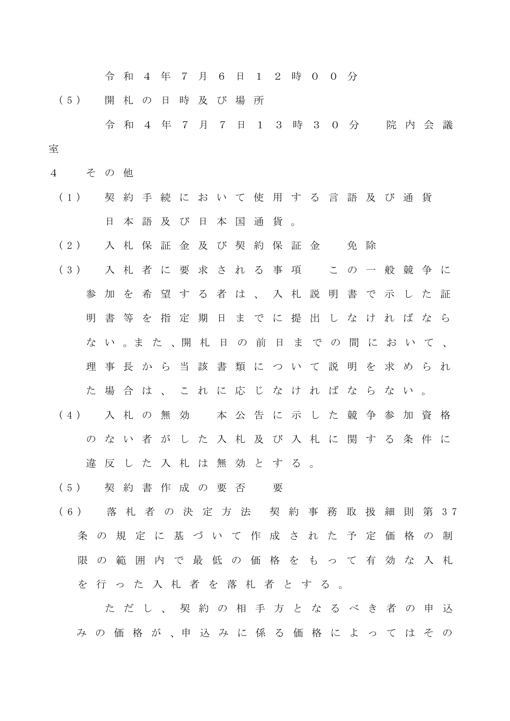令 和 4 年 7 月 6 日 1 2 時 0 0 分

(5) 開 札 の 日 時 及 び 場 所

 令 和 4 年 7 月 7 日 1 3 時 3 0 分 院 内 会 議 室

- 4 そ の 他
- (1) 契 約 手 続 に お い て 使 用 す る 言 語 及 び 通 貨 日本語及び日本国通貨。

(2) 入札保証金及び契約保証金 免除

- (3) 入 札 者 に 要 求 さ れ る 事 項 こ の 一 般 競 争 に 参 加 を 希 望 す る 者 は 、 入 札 説 明 書 で 示 し た 証 明 書 等 を 指 定 期 日 ま で に 提 出 し な け れ ば な ら な い 。ま た 、開 札 日 の 前 日 ま で の 間 に お い て 、 理 事 長 か ら 当 該 書 類 に つ い て 説 明 を 求 め ら れ た 場 合 は 、 こ れ に 応 じ な け れ ば な ら な い 。 (4) 入 札 の 無 効 本 公 告 に 示 し た 競 争 参 加 資 格
	- のない者がした入札及び入札に関する条件に 違反した入札は無効とする。

(5) 契 約 書 作 成 の 要 否 要

(6) 落 札 者 の 決 定 方 法 契 約 事 務 取 扱 細 則 第 3 7 条の規定に基づいて作成された予定価格の制 限の範囲内で最低の価格をもって有効な入札 を 行 っ た 入 札 者 を 落 札 者 と す る 。

 た だ し 、 契 約 の 相 手 方 と な る べ き 者 の 申 込 み の 価 格 が 、申 込 み に 係 る 価 格 に よ っ て は そ の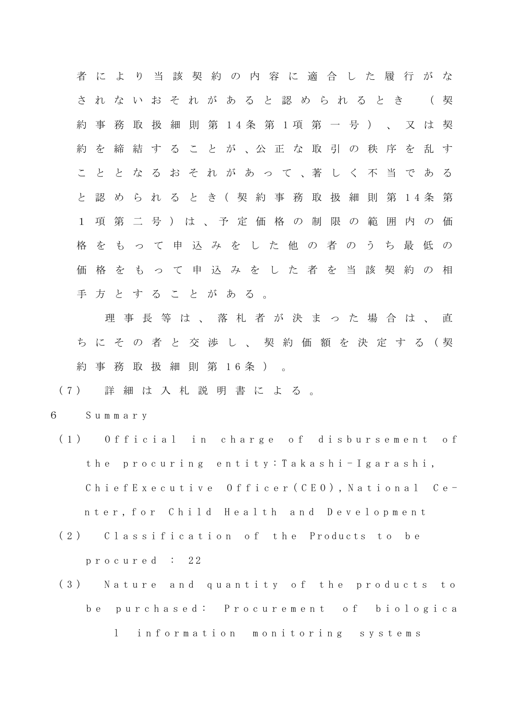者 に よ り 当 該 契 約 の 内 容 に 適 合 し た 履 行 が な さ れ な い お そ れ が あ る と 認 め ら れ る と き ( 契 約 事 務 取 扱 細 則 第 1 4 条 第 1 項 第 一 号 ) 、 又 は 契 約 を 締 結 す る こ と が 、公 正 な 取 引 の 秩 序 を 乱 す こ と と な る お そ れ が あ っ て 、著 し く 不 当 で あ る と 認 め ら れ る と き( 契 約 事 務 取 扱 細 則 第 1 4 条 第 1 項 第 二 号 ) は 、 予 定 価 格 の 制 限 の 範 囲 内 の 価 格 を も っ て 申 込 み を し た 他 の 者 の う ち 最 低 の 価格をもって申込みをした者を当該契約の相 手 方 と す る こ と が あ る 。

理事長等は、落札者が決まった場合は、直 ち に そ の 者 と 交 渉 し 、 契 約 価 額 を 決 定 す る ( 契 約 事 務 取 扱 細 則 第 1 6 条 ) 。

(7) 詳 細 は 入 札 説 明 書 に よ る 。

6 S u m m a r y

- (1) Official in charge of disbursement of the p r o c u r i n g e n t i t y : T a k a s h i - Igarashi, ChiefExecutive Officer (CEO), National Center, for Child Health and Development
- (2) Classification of the Products to be p r o c u r e d : 22
- (3) Nature and quantity of the products to be purchased: Procurement of biologica l information monitoring systems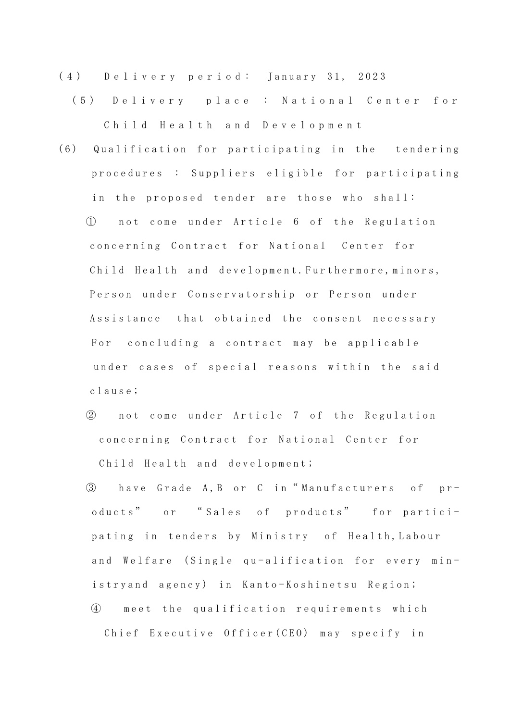- (4) Delivery period: January 31, 2023
	- (5) D e l i v e r y p l a c e : National Center for Child Health and Development
- (6) Qualification for participating in the tendering procedures : Suppliers eligible for participating in the proposed tender are those who shall:

(1) not come under Article 6 of the Regulation concerning Contract for National Center for Child Health and development. Furthermore, minors, Person under Conservatorship or Person under Assistance that obtained the consent necessary For concluding a contract may be applicable under cases of special reasons within the said c l a u s e ;

- ② not come under Article 7 of the Regulation concerning Contract for National Center for Child Health and development;
- 3 have Grade A, B or C in "Manufacturers of products" or "Sales of products" for participating in tenders by Ministry of Health, Labour and Welfare (Single qu-alification for every ministry and agency) in Kanto-Koshinetsu Region; ④ m e e t t h e q u a l i f i c a t i o n r e q u i r e m e n t s w h i c h Chief Executive Officer (CEO) may specify in